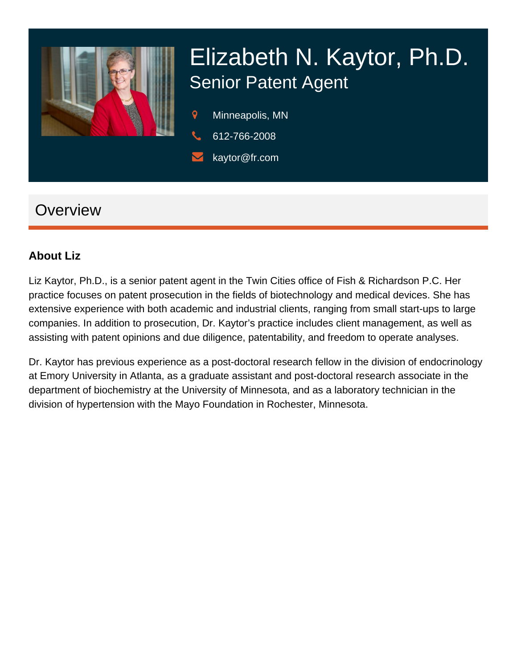

# Elizabeth N. Kaytor, Ph.D. Senior Patent Agent

- $\mathsf{Q}$ Minneapolis, MN
- 612-766-2008
- kaytor@fr.com

## **Overview**

#### **About Liz**

Liz Kaytor, Ph.D., is a senior patent agent in the Twin Cities office of Fish & Richardson P.C. Her practice focuses on patent prosecution in the fields of biotechnology and medical devices. She has extensive experience with both academic and industrial clients, ranging from small start-ups to large companies. In addition to prosecution, Dr. Kaytor's practice includes client management, as well as assisting with patent opinions and due diligence, patentability, and freedom to operate analyses.

Dr. Kaytor has previous experience as a post-doctoral research fellow in the division of endocrinology at Emory University in Atlanta, as a graduate assistant and post-doctoral research associate in the department of biochemistry at the University of Minnesota, and as a laboratory technician in the division of hypertension with the Mayo Foundation in Rochester, Minnesota.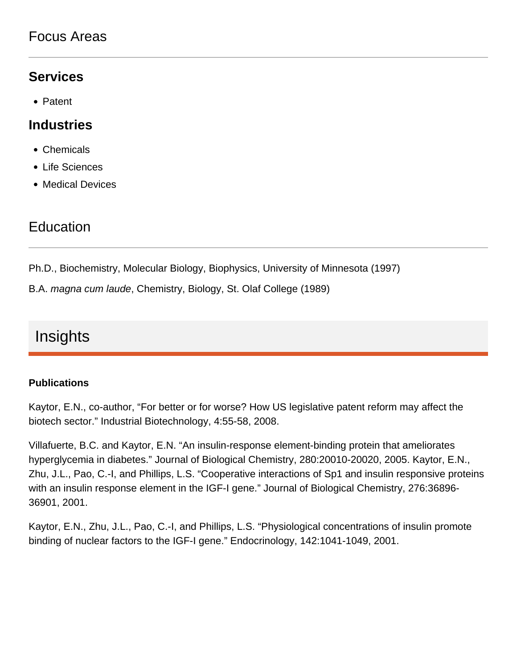### Focus Areas

#### **Services**

• Patent

#### **Industries**

- Chemicals
- Life Sciences
- Medical Devices

### **Education**

Ph.D., Biochemistry, Molecular Biology, Biophysics, University of Minnesota (1997)

B.A. magna cum laude, Chemistry, Biology, St. Olaf College (1989)

## Insights

#### **Publications**

Kaytor, E.N., co-author, "For better or for worse? How US legislative patent reform may affect the biotech sector." Industrial Biotechnology, 4:55-58, 2008.

Villafuerte, B.C. and Kaytor, E.N. "An insulin-response element-binding protein that ameliorates hyperglycemia in diabetes." Journal of Biological Chemistry, 280:20010-20020, 2005. Kaytor, E.N., Zhu, J.L., Pao, C.-I, and Phillips, L.S. "Cooperative interactions of Sp1 and insulin responsive proteins with an insulin response element in the IGF-I gene." Journal of Biological Chemistry, 276:36896- 36901, 2001.

Kaytor, E.N., Zhu, J.L., Pao, C.-I, and Phillips, L.S. "Physiological concentrations of insulin promote binding of nuclear factors to the IGF-I gene." Endocrinology, 142:1041-1049, 2001.